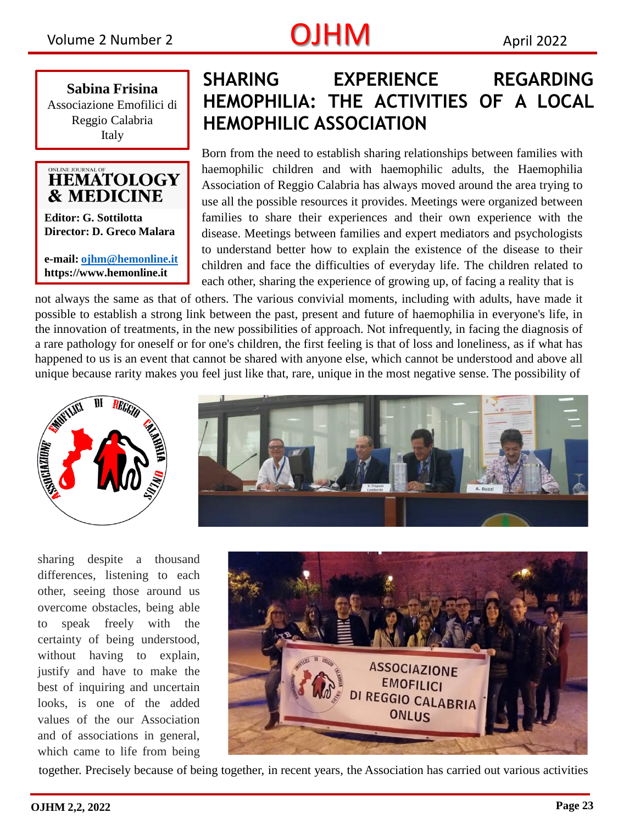## Volume 2 Number 2  $OJHM$  April 2022

**Sabina Frisina** Associazione Emofilici di Reggio Calabria Italy

### ONLINE JOURNAL OF **HEMATOLOGY & MEDICINE**

**Editor: G. Sottilotta Director: D. Greco Malara**

**e-mail: [ojhm@hemonline.it](mailto:ojhm@hemonline.it) https://www.hemonline.it** 

## **SHARING EXPERIENCE REGARDING HEMOPHILIA: THE ACTIVITIES OF A LOCAL HEMOPHILIC ASSOCIATION**

Born from the need to establish sharing relationships between families with haemophilic children and with haemophilic adults, the Haemophilia Association of Reggio Calabria has always moved around the area trying to use all the possible resources it provides. Meetings were organized between families to share their experiences and their own experience with the disease. Meetings between families and expert mediators and psychologists to understand better how to explain the existence of the disease to their children and face the difficulties of everyday life. The children related to each other, sharing the experience of growing up, of facing a reality that is

not always the same as that of others. The various convivial moments, including with adults, have made it possible to establish a strong link between the past, present and future of haemophilia in everyone's life, in the innovation of treatments, in the new possibilities of approach. Not infrequently, in facing the diagnosis of a rare pathology for oneself or for one's children, the first feeling is that of loss and loneliness, as if what has happened to us is an event that cannot be shared with anyone else, which cannot be understood and above all unique because rarity makes you feel just like that, rare, unique in the most negative sense. The possibility of





sharing despite a thousand differences, listening to each other, seeing those around us overcome obstacles, being able to speak freely with the certainty of being understood, without having to explain, justify and have to make the best of inquiring and uncertain looks, is one of the added values of the our Association and of associations in general, which came to life from being



together. Precisely because of being together, in recent years, the Association has carried out various activities